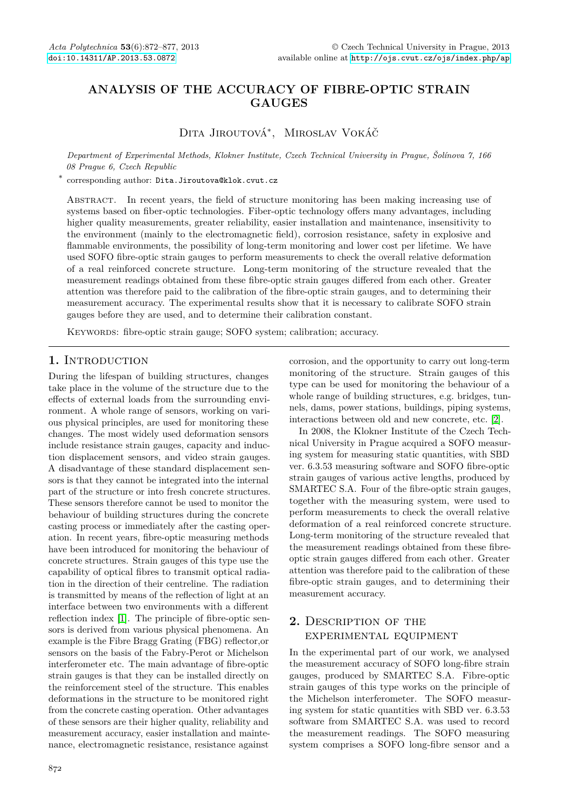# **ANALYSIS OF THE ACCURACY OF FIBRE-OPTIC STRAIN GAUGES**

Dita Jiroutová<sup>∗</sup> , Miroslav Vokáč

*Department of Experimental Methods, Klokner Institute, Czech Technical University in Prague, Šolínova 7, 166 08 Prague 6, Czech Republic*

∗ corresponding author: Dita.Jiroutova@klok.cvut.cz

Abstract. In recent years, the field of structure monitoring has been making increasing use of systems based on fiber-optic technologies. Fiber-optic technology offers many advantages, including higher quality measurements, greater reliability, easier installation and maintenance, insensitivity to the environment (mainly to the electromagnetic field), corrosion resistance, safety in explosive and flammable environments, the possibility of long-term monitoring and lower cost per lifetime. We have used SOFO fibre-optic strain gauges to perform measurements to check the overall relative deformation of a real reinforced concrete structure. Long-term monitoring of the structure revealed that the measurement readings obtained from these fibre-optic strain gauges differed from each other. Greater attention was therefore paid to the calibration of the fibre-optic strain gauges, and to determining their measurement accuracy. The experimental results show that it is necessary to calibrate SOFO strain gauges before they are used, and to determine their calibration constant.

KEYWORDS: fibre-optic strain gauge; SOFO system; calibration; accuracy.

### 1. INTRODUCTION

During the lifespan of building structures, changes take place in the volume of the structure due to the effects of external loads from the surrounding environment. A whole range of sensors, working on various physical principles, are used for monitoring these changes. The most widely used deformation sensors include resistance strain gauges, capacity and induction displacement sensors, and video strain gauges. A disadvantage of these standard displacement sensors is that they cannot be integrated into the internal part of the structure or into fresh concrete structures. These sensors therefore cannot be used to monitor the behaviour of building structures during the concrete casting process or immediately after the casting operation. In recent years, fibre-optic measuring methods have been introduced for monitoring the behaviour of concrete structures. Strain gauges of this type use the capability of optical fibres to transmit optical radiation in the direction of their centreline. The radiation is transmitted by means of the reflection of light at an interface between two environments with a different reflection index [\[1\]](#page-5-0). The principle of fibre-optic sensors is derived from various physical phenomena. An example is the Fibre Bragg Grating (FBG) reflector,or sensors on the basis of the Fabry-Perot or Michelson interferometer etc. The main advantage of fibre-optic strain gauges is that they can be installed directly on the reinforcement steel of the structure. This enables deformations in the structure to be monitored right from the concrete casting operation. Other advantages of these sensors are their higher quality, reliability and measurement accuracy, easier installation and maintenance, electromagnetic resistance, resistance against

corrosion, and the opportunity to carry out long-term monitoring of the structure. Strain gauges of this type can be used for monitoring the behaviour of a whole range of building structures, e.g. bridges, tunnels, dams, power stations, buildings, piping systems, interactions between old and new concrete, etc. [\[2\]](#page-5-1).

In 2008, the Klokner Institute of the Czech Technical University in Prague acquired a SOFO measuring system for measuring static quantities, with SBD ver. 6.3.53 measuring software and SOFO fibre-optic strain gauges of various active lengths, produced by SMARTEC S.A. Four of the fibre-optic strain gauges, together with the measuring system, were used to perform measurements to check the overall relative deformation of a real reinforced concrete structure. Long-term monitoring of the structure revealed that the measurement readings obtained from these fibreoptic strain gauges differed from each other. Greater attention was therefore paid to the calibration of these fibre-optic strain gauges, and to determining their measurement accuracy.

## **2.** Description of the experimental equipment

In the experimental part of our work, we analysed the measurement accuracy of SOFO long-fibre strain gauges, produced by SMARTEC S.A. Fibre-optic strain gauges of this type works on the principle of the Michelson interferometer. The SOFO measuring system for static quantities with SBD ver. 6.3.53 software from SMARTEC S.A. was used to record the measurement readings. The SOFO measuring system comprises a SOFO long-fibre sensor and a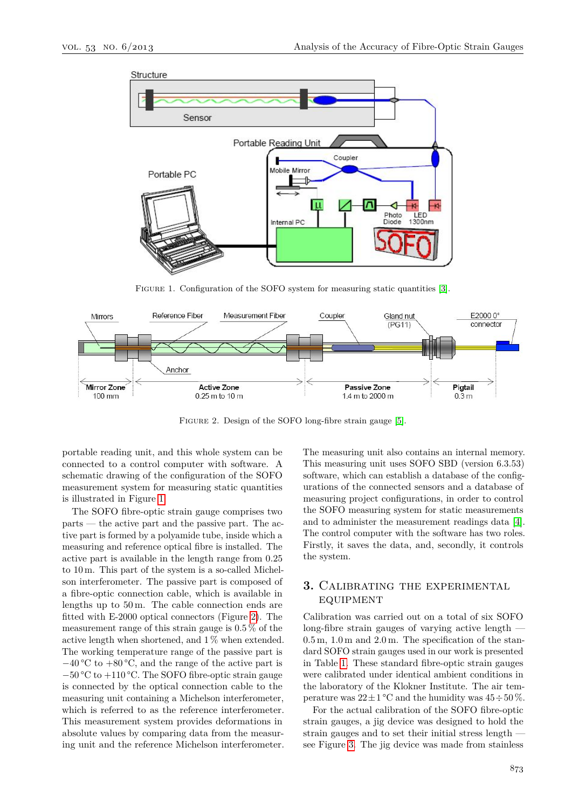<span id="page-1-0"></span>

FIGURE 1. Configuration of the SOFO system for measuring static quantities [\[3\]](#page-5-2).

<span id="page-1-1"></span>

Figure 2. Design of the SOFO long-fibre strain gauge [\[5\]](#page-5-3).

portable reading unit, and this whole system can be connected to a control computer with software. A schematic drawing of the configuration of the SOFO measurement system for measuring static quantities is illustrated in Figure [1.](#page-1-0)

The SOFO fibre-optic strain gauge comprises two parts — the active part and the passive part. The active part is formed by a polyamide tube, inside which a measuring and reference optical fibre is installed. The active part is available in the length range from 0.25 to 10 m. This part of the system is a so-called Michelson interferometer. The passive part is composed of a fibre-optic connection cable, which is available in lengths up to 50 m. The cable connection ends are fitted with E-2000 optical connectors (Figure [2\)](#page-1-1). The measurement range of this strain gauge is 0.5 % of the active length when shortened, and 1 % when extended. The working temperature range of the passive part is  $-40$  °C to  $+80$  °C, and the range of the active part is −50 °C to +110 °C. The SOFO fibre-optic strain gauge is connected by the optical connection cable to the measuring unit containing a Michelson interferometer, which is referred to as the reference interferometer. This measurement system provides deformations in absolute values by comparing data from the measuring unit and the reference Michelson interferometer.

The measuring unit also contains an internal memory. This measuring unit uses SOFO SBD (version 6.3.53) software, which can establish a database of the configurations of the connected sensors and a database of measuring project configurations, in order to control the SOFO measuring system for static measurements and to administer the measurement readings data [\[4\]](#page-5-4). The control computer with the software has two roles. Firstly, it saves the data, and, secondly, it controls the system.

## **3.** Calibrating the experimental **EQUIPMENT**

Calibration was carried out on a total of six SOFO long-fibre strain gauges of varying active length —  $0.5 \,\mathrm{m}$ ,  $1.0 \,\mathrm{m}$  and  $2.0 \,\mathrm{m}$ . The specification of the standard SOFO strain gauges used in our work is presented in Table [1.](#page-2-0) These standard fibre-optic strain gauges were calibrated under identical ambient conditions in the laboratory of the Klokner Institute. The air temperature was  $22 \pm 1$  °C and the humidity was  $45 \div 50$  %.

For the actual calibration of the SOFO fibre-optic strain gauges, a jig device was designed to hold the strain gauges and to set their initial stress length see Figure [3.](#page-2-1) The jig device was made from stainless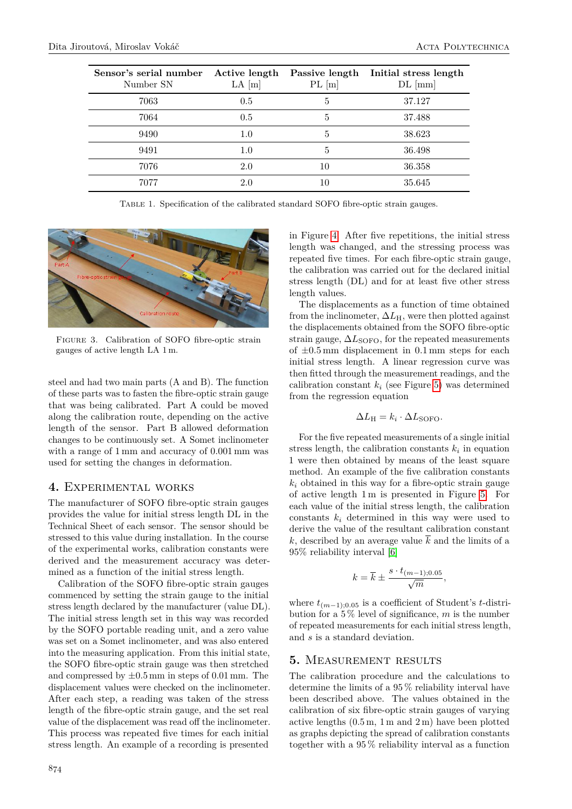<span id="page-2-0"></span>

| Sensor's serial number<br>Number SN | Active length<br>$LA$ [m] | Passive length<br>PL[m] | Initial stress length<br>$DL$ [mm] |
|-------------------------------------|---------------------------|-------------------------|------------------------------------|
| 7063                                | 0.5                       | 5                       | 37.127                             |
| 7064                                | 0.5                       | 5                       | 37.488                             |
| 9490                                | 1.0                       | 5                       | 38.623                             |
| 9491                                | 1.0                       | 5                       | 36.498                             |
| 7076                                | 2.0                       | 10                      | 36.358                             |
| 7077                                | 2.0                       | 10                      | 35.645                             |

Table 1. Specification of the calibrated standard SOFO fibre-optic strain gauges.

<span id="page-2-1"></span>

Figure 3. Calibration of SOFO fibre-optic strain gauges of active length LA 1 m.

steel and had two main parts (A and B). The function of these parts was to fasten the fibre-optic strain gauge that was being calibrated. Part A could be moved along the calibration route, depending on the active length of the sensor. Part B allowed deformation changes to be continuously set. A Somet inclinometer with a range of 1 mm and accuracy of 0.001 mm was used for setting the changes in deformation.

#### **4.** Experimental works

The manufacturer of SOFO fibre-optic strain gauges provides the value for initial stress length DL in the Technical Sheet of each sensor. The sensor should be stressed to this value during installation. In the course of the experimental works, calibration constants were derived and the measurement accuracy was determined as a function of the initial stress length.

Calibration of the SOFO fibre-optic strain gauges commenced by setting the strain gauge to the initial stress length declared by the manufacturer (value DL). The initial stress length set in this way was recorded by the SOFO portable reading unit, and a zero value was set on a Somet inclinometer, and was also entered into the measuring application. From this initial state, the SOFO fibre-optic strain gauge was then stretched and compressed by  $\pm 0.5$  mm in steps of 0.01 mm. The displacement values were checked on the inclinometer. After each step, a reading was taken of the stress length of the fibre-optic strain gauge, and the set real value of the displacement was read off the inclinometer. This process was repeated five times for each initial stress length. An example of a recording is presented

in Figure [4.](#page-3-0) After five repetitions, the initial stress length was changed, and the stressing process was repeated five times. For each fibre-optic strain gauge, the calibration was carried out for the declared initial stress length (DL) and for at least five other stress length values.

The displacements as a function of time obtained from the inclinometer,  $\Delta L_{\rm H}$ , were then plotted against the displacements obtained from the SOFO fibre-optic strain gauge,  $\Delta L_{\text{SOFO}}$ , for the repeated measurements of  $\pm 0.5$  mm displacement in 0.1 mm steps for each initial stress length. A linear regression curve was then fitted through the measurement readings, and the calibration constant  $k_i$  (see Figure [5\)](#page-3-1) was determined from the regression equation

$$
\Delta L_{\rm H} = k_i \cdot \Delta L_{\rm SOFO}.
$$

For the five repeated measurements of a single initial stress length, the calibration constants  $k_i$  in equation 1 were then obtained by means of the least square method. An example of the five calibration constants  $k_i$  obtained in this way for a fibre-optic strain gauge of active length 1 m is presented in Figure [5.](#page-3-1) For each value of the initial stress length, the calibration constants  $k_i$  determined in this way were used to derive the value of the resultant calibration constant k, described by an average value  $\overline{k}$  and the limits of a 95% reliability interval [\[6\]](#page-5-5)

$$
k = \overline{k} \pm \frac{s \cdot t_{(m-1);0.05}}{\sqrt{m}},
$$

where  $t_{(m-1),0,05}$  is a coefficient of Student's *t*-distribution for a 5 % level of significance, *m* is the number of repeated measurements for each initial stress length, and *s* is a standard deviation.

#### **5.** Measurement results

The calibration procedure and the calculations to determine the limits of a 95 % reliability interval have been described above. The values obtained in the calibration of six fibre-optic strain gauges of varying active lengths  $(0.5 \,\mathrm{m}, 1 \,\mathrm{m} \text{ and } 2 \,\mathrm{m})$  have been plotted as graphs depicting the spread of calibration constants together with a 95 % reliability interval as a function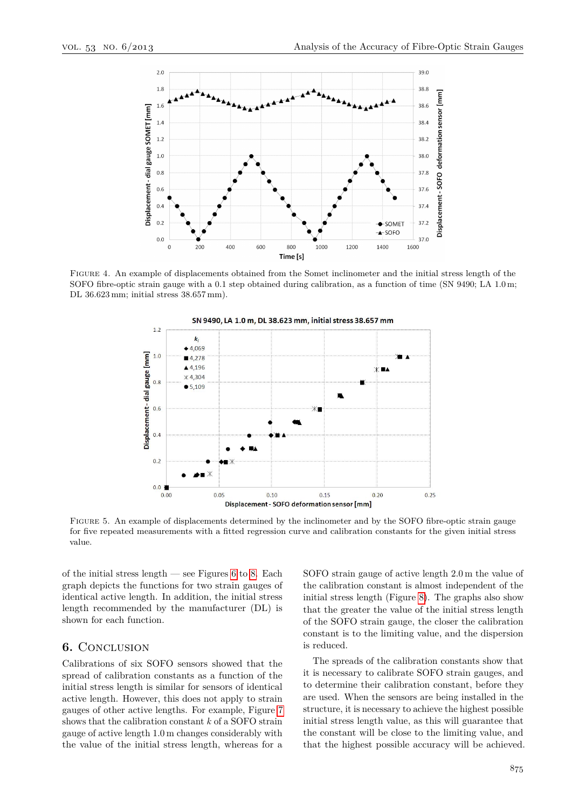<span id="page-3-0"></span>

<span id="page-3-1"></span>Figure 4. An example of displacements obtained from the Somet inclinometer and the initial stress length of the SOFO fibre-optic strain gauge with a 0.1 step obtained during calibration, as a function of time (SN 9490; LA 1.0 m; DL 36.623 mm; initial stress 38.657 mm).



Figure 5. An example of displacements determined by the inclinometer and by the SOFO fibre-optic strain gauge for five repeated measurements with a fitted regression curve and calibration constants for the given initial stress value.

of the initial stress length — see Figures [6](#page-4-0) to [8.](#page-4-1) Each graph depicts the functions for two strain gauges of identical active length. In addition, the initial stress length recommended by the manufacturer (DL) is shown for each function.

#### **6.** Conclusion

Calibrations of six SOFO sensors showed that the spread of calibration constants as a function of the initial stress length is similar for sensors of identical active length. However, this does not apply to strain gauges of other active lengths. For example, Figure [7](#page-4-2) shows that the calibration constant *k* of a SOFO strain gauge of active length 1.0 m changes considerably with the value of the initial stress length, whereas for a SOFO strain gauge of active length 2.0 m the value of the calibration constant is almost independent of the initial stress length (Figure [8\)](#page-4-1). The graphs also show that the greater the value of the initial stress length of the SOFO strain gauge, the closer the calibration constant is to the limiting value, and the dispersion is reduced.

The spreads of the calibration constants show that it is necessary to calibrate SOFO strain gauges, and to determine their calibration constant, before they are used. When the sensors are being installed in the structure, it is necessary to achieve the highest possible initial stress length value, as this will guarantee that the constant will be close to the limiting value, and that the highest possible accuracy will be achieved.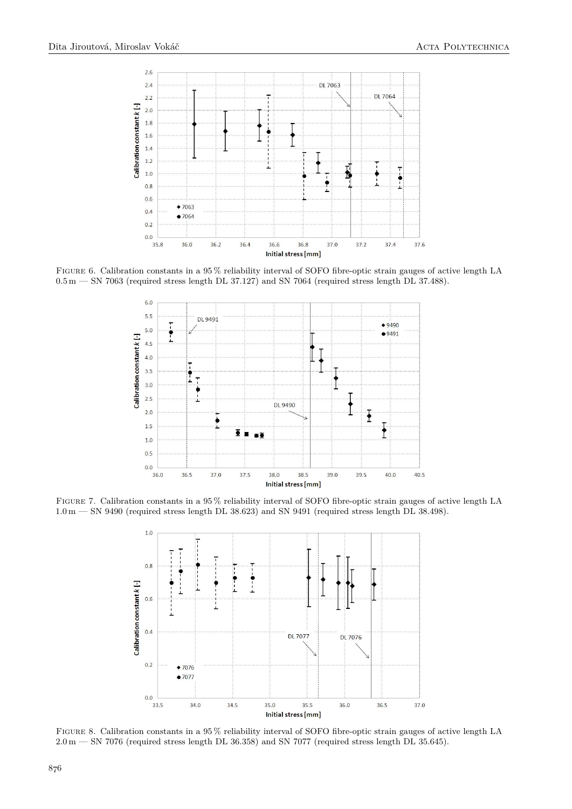<span id="page-4-0"></span>

<span id="page-4-2"></span>Figure 6. Calibration constants in a 95 % reliability interval of SOFO fibre-optic strain gauges of active length LA  $0.5\,\text{m}$  — SN 7063 (required stress length DL 37.127) and SN 7064 (required stress length DL 37.488).



<span id="page-4-1"></span>FIGURE 7. Calibration constants in a 95% reliability interval of SOFO fibre-optic strain gauges of active length LA  $1.0 \text{ m} - \text{SN } 9490$  (required stress length DL 38.623) and SN 9491 (required stress length DL 38.498).



Figure 8. Calibration constants in a 95 % reliability interval of SOFO fibre-optic strain gauges of active length LA 2.0 m — SN 7076 (required stress length DL 36.358) and SN 7077 (required stress length DL 35.645).